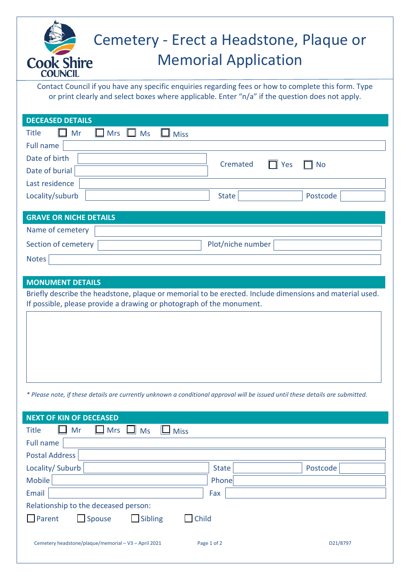## Cemetery - Erect a Headstone, Plaque or Memorial Application **Cook Shire COUNCIL**

Contact Council if you have any specific enquiries regarding fees or how to complete this form. Type or print clearly and select boxes where applicable. Enter "n/a" if the question does not apply.

| <b>DECEASED DETAILS</b>                                                                                                        |                         |
|--------------------------------------------------------------------------------------------------------------------------------|-------------------------|
| <b>Title</b><br>Mr<br><b>Mrs</b><br>$\Box$ Ms<br><b>Miss</b><br>1 I                                                            |                         |
| Full name                                                                                                                      |                         |
| Date of birth                                                                                                                  |                         |
| Cremated<br>Date of burial                                                                                                     | $\Box$ Yes<br><b>No</b> |
| Last residence                                                                                                                 |                         |
| Locality/suburb<br><b>State</b>                                                                                                | Postcode                |
|                                                                                                                                |                         |
| <b>GRAVE OR NICHE DETAILS</b>                                                                                                  |                         |
| Name of cemetery                                                                                                               |                         |
| Section of cemetery<br>Plot/niche number                                                                                       |                         |
| <b>Notes</b>                                                                                                                   |                         |
|                                                                                                                                |                         |
|                                                                                                                                |                         |
| <b>MONUMENT DETAILS</b>                                                                                                        |                         |
| Briefly describe the headstone, plaque or memorial to be erected. Include dimensions and material used.                        |                         |
| If possible, please provide a drawing or photograph of the monument.                                                           |                         |
|                                                                                                                                |                         |
|                                                                                                                                |                         |
|                                                                                                                                |                         |
|                                                                                                                                |                         |
|                                                                                                                                |                         |
|                                                                                                                                |                         |
| * Please note, if these details are currently unknown a conditional approval will be issued until these details are submitted. |                         |
|                                                                                                                                |                         |
| <b>NEXT OF KIN OF DECEASED</b>                                                                                                 |                         |

| Full name                                                        |                         |  |
|------------------------------------------------------------------|-------------------------|--|
| Postal Address                                                   |                         |  |
| Locality/Suburb                                                  | State<br>Postcode       |  |
| Mobile                                                           | Phone                   |  |
| Email                                                            | Fax                     |  |
| Relationship to the deceased person:                             |                         |  |
| $\Box$ Parent<br>$\Box$ Sibling<br>$\Box$ Child<br>$\Box$ Spouse |                         |  |
|                                                                  |                         |  |
| Cemetery headstone/plaque/memorial - V3 - April 2021             | D21/8797<br>Page 1 of 2 |  |